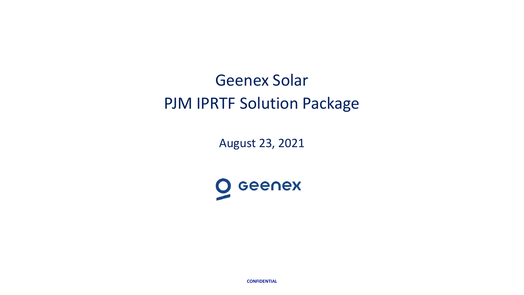# Geenex Solar PJM IPRTF Solution Package

August 23, 2021



**CONFIDENTIAL**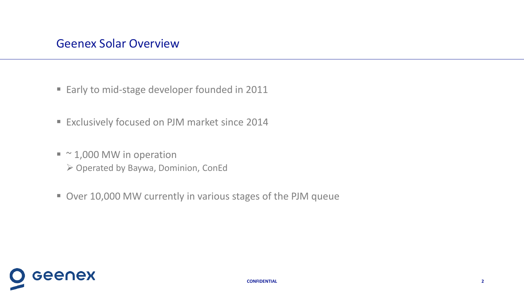- Early to mid-stage developer founded in 2011
- **Exclusively focused on PJM market since 2014**
- $\blacksquare$  ~ 1,000 MW in operation  $\triangleright$  Operated by Baywa, Dominion, ConEd
- Over 10,000 MW currently in various stages of the PJM queue

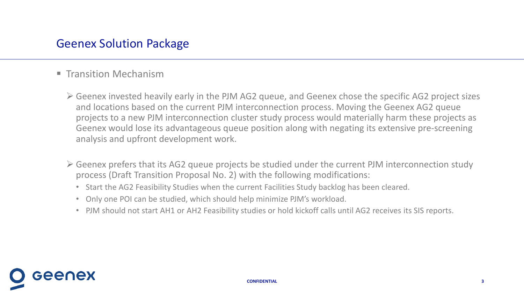## Geenex Solution Package

- **Transition Mechanism** 
	- $\triangleright$  Geenex invested heavily early in the PJM AG2 queue, and Geenex chose the specific AG2 project sizes and locations based on the current PJM interconnection process. Moving the Geenex AG2 queue projects to a new PJM interconnection cluster study process would materially harm these projects as Geenex would lose its advantageous queue position along with negating its extensive pre-screening analysis and upfront development work.
	- $\triangleright$  Geenex prefers that its AG2 queue projects be studied under the current PJM interconnection study process (Draft Transition Proposal No. 2) with the following modifications:
		- Start the AG2 Feasibility Studies when the current Facilities Study backlog has been cleared.
		- Only one POI can be studied, which should help minimize PJM's workload.
		- PJM should not start AH1 or AH2 Feasibility studies or hold kickoff calls until AG2 receives its SIS reports.

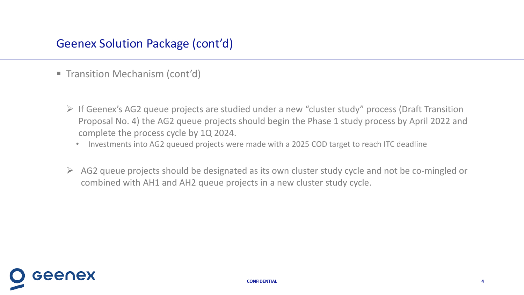- **Transition Mechanism (cont'd)** 
	- $\triangleright$  If Geenex's AG2 queue projects are studied under a new "cluster study" process (Draft Transition Proposal No. 4) the AG2 queue projects should begin the Phase 1 study process by April 2022 and complete the process cycle by 1Q 2024.
		- Investments into AG2 queued projects were made with a 2025 COD target to reach ITC deadline
	- $\triangleright$  AG2 queue projects should be designated as its own cluster study cycle and not be co-mingled or combined with AH1 and AH2 queue projects in a new cluster study cycle.

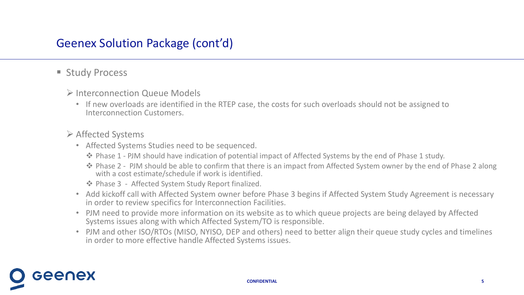# Geenex Solution Package (cont'd)

## **Study Process**

Geenex

### Interconnection Queue Models

• If new overloads are identified in the RTEP case, the costs for such overloads should not be assigned to Interconnection Customers.

### $\triangleright$  Affected Systems

- Affected Systems Studies need to be sequenced.
	- Phase 1 PJM should have indication of potential impact of Affected Systems by the end of Phase 1 study.
	- ◆ Phase 2 PJM should be able to confirm that there is an impact from Affected System owner by the end of Phase 2 along with a cost estimate/schedule if work is identified.

◆ Phase 3 - Affected System Study Report finalized.

- Add kickoff call with Affected System owner before Phase 3 begins if Affected System Study Agreement is necessary in order to review specifics for Interconnection Facilities.
- PJM need to provide more information on its website as to which queue projects are being delayed by Affected Systems issues along with which Affected System/TO is responsible.
- PJM and other ISO/RTOs (MISO, NYISO, DEP and others) need to better align their queue study cycles and timelines in order to more effective handle Affected Systems issues.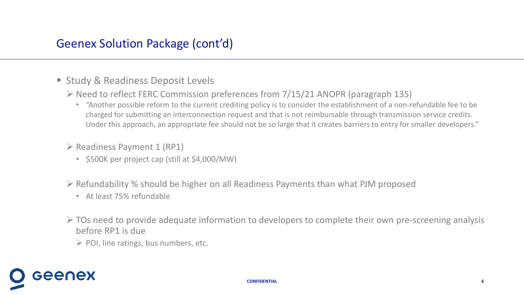- **Study & Readiness Deposit Levels** 
	- $\triangleright$  Need to reflect FERC Commission preferences from 7/15/21 ANOPR (paragraph 135)
		- "Another possible reform to the current crediting policy is to consider the establishment of a non-refundable fee to be charged for submitting an interconnection request and that is not reimbursable through transmission service credits. Under this approach, an appropriate fee should not be so large that it creates barriers to entry for smaller developers."
	- $\triangleright$  Readiness Payment 1 (RP1)
		- \$500K per project cap (still at \$4,000/MW)
	- $\triangleright$  Refundability % should be higher on all Readiness Payments than what PJM proposed
		- At least 75% refundable

Geenex

- $\triangleright$  TOs need to provide adequate information to developers to complete their own pre-screening analysis before RP1 is due
	- $\triangleright$  POI, line ratings, bus numbers, etc.